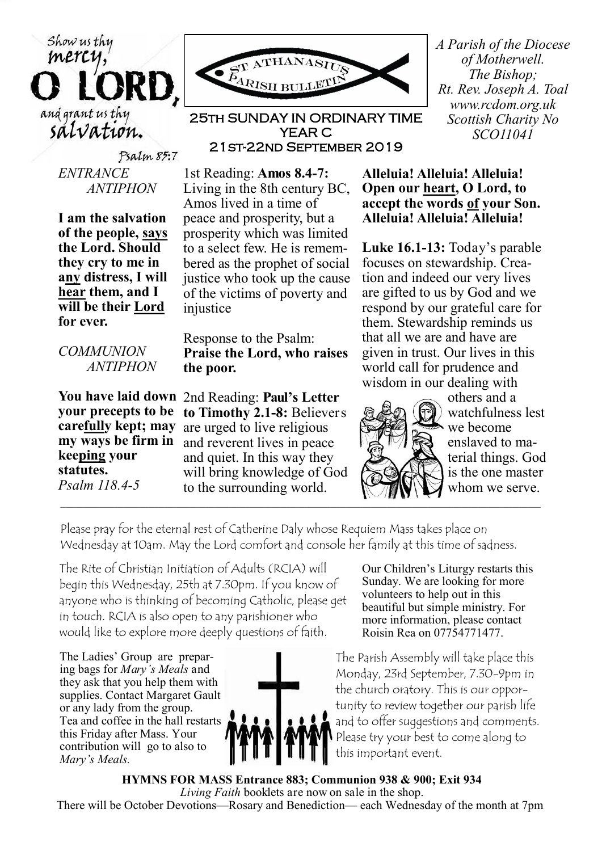Psalm 85:7 *ENTRANCE ANTIPHON*

Show us thy mercy

and grant us thy salvation.

> **I am the salvation of the people, says the Lord. Should they cry to me in any distress, I will hear them, and I will be their Lord for ever.**

*COMMUNION ANTIPHON*

**You have laid down your precepts to be carefully kept; may my ways be firm in keeping your statutes.** *Psalm 118.4-5*

ATHAN ARISH BULLETI

25th SUNDAY IN ORDINARY TIME YEAR C 21st-22nd September 2019

1st Reading: **Amos 8.4-7:**  Living in the 8th century BC, Amos lived in a time of peace and prosperity, but a prosperity which was limited to a select few. He is remembered as the prophet of social justice who took up the cause of the victims of poverty and injustice

Response to the Psalm: **Praise the Lord, who raises the poor.**

2nd Reading: **Paul's Letter to Timothy 2.1-8:** Believers are urged to live religious and reverent lives in peace and quiet. In this way they will bring knowledge of God to the surrounding world.

*A Parish of the Diocese of Motherwell. The Bishop; Rt. Rev. Joseph A. Toal www.rcdom.org.uk Scottish Charity No SCO11041*

## **Alleluia! Alleluia! Alleluia! Open our heart, O Lord, to accept the words of your Son. Alleluia! Alleluia! Alleluia!**

**Luke 16.1-13:** Today's parable focuses on stewardship. Creation and indeed our very lives are gifted to us by God and we respond by our grateful care for them. Stewardship reminds us that all we are and have are given in trust. Our lives in this world call for prudence and wisdom in our dealing with



others and a watchfulness lest we become enslaved to material things. God is the one master whom we serve.

Please pray for the eternal rest of Catherine Daly whose Requiem Mass takes place on Wednesday at 10am. May the Lord comfort and console her family at this time of sadness.

The Rite of Christian Initiation of Adults (RCIA) will begin this Wednesday, 25th at 7.30pm. If you know of anyone who is thinking of becoming Catholic, please get in touch. RCIA is also open to any parishioner who would like to explore more deeply questions of faith.

The Ladies' Group are preparing bags for *Mary's Meals* and they ask that you help them with supplies. Contact Margaret Gault or any lady from the group. Tea and coffee in the hall restarts this Friday after Mass. Your contribution will go to also to *Mary's Meals.*



Our Children's Liturgy restarts this Sunday. We are looking for more volunteers to help out in this beautiful but simple ministry. For more information, please contact Roisin Rea on 07754771477.

The Parish Assembly will take place this Monday, 23rd September, 7.30-9pm in the church oratory. This is our opportunity to review together our parish life and to offer suggestions and comments. Please try your best to come along to this important event.

**HYMNS FOR MASS Entrance 883; Communion 938 & 900; Exit 934** *Living Faith* booklets are now on sale in the shop. There will be October Devotions—Rosary and Benediction— each Wednesday of the month at 7pm